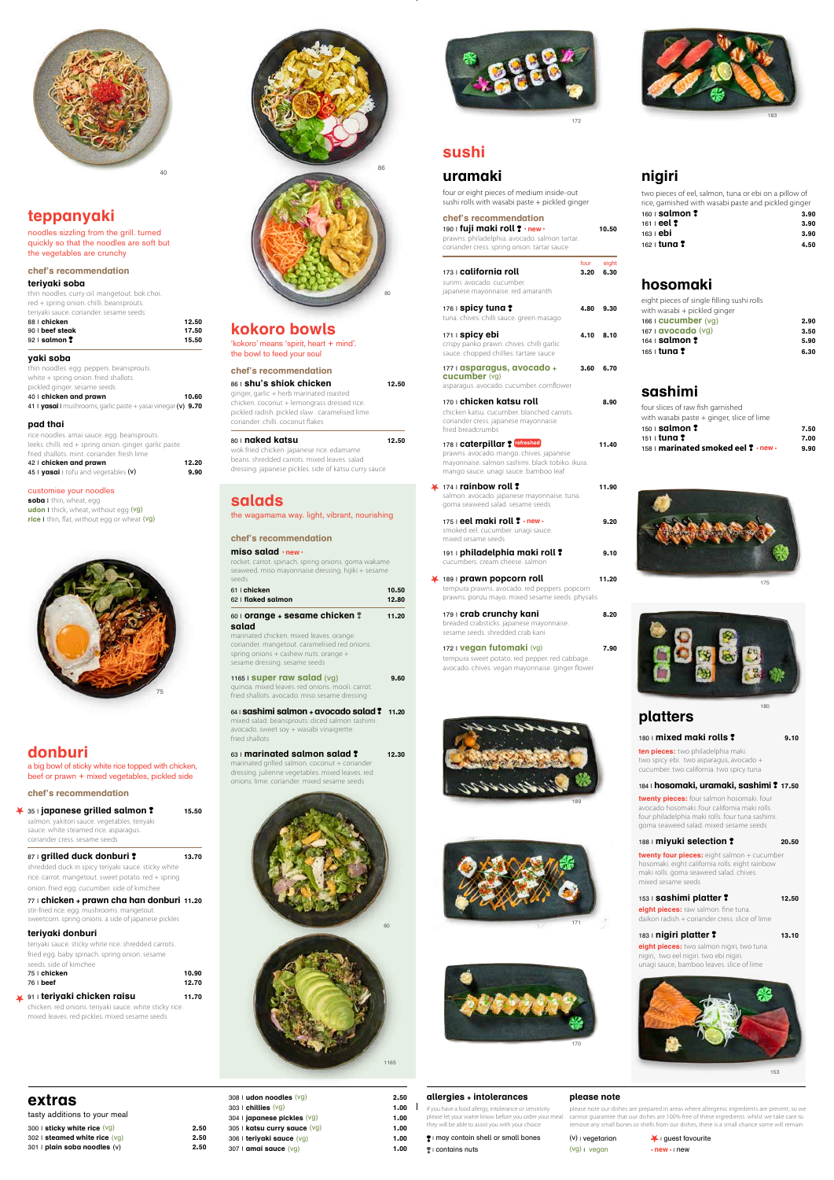



# **extras**

tasty additions to your meal

- 300 | **sticky white rice** (vg) **2.50** 302 | **steamed white rice** (vg) **2.50**
- 301 | **plain soba noodles** (v) **2.50**

| 308   udon noodles $(vg)$                    | 2.50 |
|----------------------------------------------|------|
| 303 $\mid$ chillies $\left(\forall g\right)$ | 1.00 |
| 304   <b>japanese pickles</b> $(vg)$         | 1.00 |
| 305   katsu curry sauce (vg)                 | 1.00 |
| 306   terivaki sauce (vg)                    | 1.00 |
| 307   amai sauce $(vg)$                      | 1.00 |

# **allergies + intolerances**

if you have a food allergy, intolerance or sensitivity ease let your waiter know before you order your meal they will be able to assist you with your choice

### **please note**

please note our dishes are prepared in areas where allergenic ingredients are present, so we cannot guarantee that our dishes are 100% free of these ingredients. whilst we take care to remove any small bones or shells from our dishes, there is a small chance some will remain

**eight pieces:** raw salmon. fine tuna. daikon radish + coriander cress. slice of lime

- | may contain shell or small bones
- | contains nuts

(v) | vegetarian (vg) | vegan

| guest favourite **• new•** | new

# **platters**

180 | **mixed maki rolls 9.10 ten pieces:** two philadelphia maki.

two spicy ebi. two asparagus, avocado + cucumber. two california. two spicy tuna

### 184 | **hosomaki, uramaki, sashimi 17.50**

**twenty pieces:** four salmon hosomaki. four avocado hosomaki. four california maki rolls. four philadelphia maki rolls. four tuna sashimi. goma seaweed salad. mixed sesame seeds

# 188 | **miyuki selection 20.50**

**twenty four pieces:** eight salmon + cucumber hosomaki. eight california rolls. eight rainbow maki rolls. goma seaweed salad. chives. mixed sesame seeds

### 153 | **sashimi platter 12.50**

### 183 | **nigiri platter 13.10**

**eight pieces:** two salmon nigiri, two tuna nigiri, two eel nigiri. two ebi nigiri. unagi sauce, bamboo leaves. slice of lime

# **sushi**

# **uramaki**

¥

four or eight pieces of medium inside-out sushi rolls with wasabi paste + pickled ginger

**soba** | thin, wheat, egg **udon** I thick, wheat, without egg (vg) **rice** I thin, flat, without egg or wheat (vg)

| 190   fuji maki roll ? . new .<br>prawns. philadelphia. avocado. salmon tartar.<br>coriander cress. spring onion. tartar sauce                                         |              | 10.50         |
|------------------------------------------------------------------------------------------------------------------------------------------------------------------------|--------------|---------------|
| 173   california roll<br>surimi, avocado, cucumber,<br>japanese mayonnaise, red amaranth                                                                               | four<br>3.20 | eight<br>6.30 |
| 176   <b>spicy tuna?</b><br>tuna. chives. chilli sauce. green masago                                                                                                   | 4.80         | 9.30          |
| 171   spicy ebi<br>crispy panko prawn. chives. chilli garlic<br>sauce. chopped chillies. tartare sauce                                                                 | 4.10         | 8.10          |
| 177   asparagus, avocado +<br>cucumber (vg)<br>asparagus. avocado. cucumber. cornflower                                                                                | 3.60         | 6.70          |
| 170   <b>chicken katsu roll</b><br>chicken katsu. cucumber. blanched carrots.<br>coriander cress. japanese mayonnaise.<br>fried breadcrumbs                            |              | 8.90          |
| 178   caterpillar ? refreshed<br>prawns. avocado. mango. chives. japanese<br>mayonnaise. salmon sashimi. black tobiko. ikura.<br>mango sauce, unagi sauce, bamboo leaf |              | 11.40         |
| $174$ $\mid$ rainbow roll $\degree$<br>salmon. avocado. japanese mayonnaise. tuna.<br>goma seaweed salad. sesame seeds                                                 |              | 11.90         |
| 175   <b>eel maki roll ? ·new</b> ·<br>smoked eel. cucumber. unagi sauce.<br>mixed sesame seeds                                                                        |              | 9.20          |
| 191   philadelphia maki roll?<br>cucumbers. cream cheese. salmon                                                                                                       |              | 9.10          |
| 189   prawn popcorn roll<br>tempura prawns. avocado. red peppers. popcorn<br>prawns. ponzu mayo. mixed sesame seeds. physalis                                          |              | 11.20         |
| 179   <b>crab crunchy kani</b><br>breaded crabsticks. japanese mayonnaise.<br>sesame seeds, shredded crab kani                                                         |              | 8.20          |
| 172   <b>Vegan futomaki</b> (vg)<br>tempura sweet potato. red pepper. red cabbage.<br>avocado. chives. vegan mayonnaise. ginger flower                                 |              | 7.90          |

87 | **grilled duck donburi ?** 13.70 shredded duck in spicy teriyaki sauce. sticky white rice. carrot. mangetout. sweet potato. red + spring onion. fried egg. cucumber. side of kimchee

# **teppanyaki**

noodles sizzling from the grill. turned quickly so that the noodles are soft but the vegetables are crunchy

### **chef's recommendation**

### **teriyaki soba**

thin noodles. curry oil. mangetout. bok choi. red + spring onion. chilli. beansprouts.

> 63 | **marinated salmon salad ?** 12.30 marinated grilled salmon. coconut + coriander dressing. julienne vegetables. mixed leaves. red onions. lime. coriander. mixed sesame seeds

| teriyaki sauce. coriander. sesame seeds |       |
|-----------------------------------------|-------|
| 88 Lchicken                             | 12.50 |
| $90 \perp$ beef steak                   | 17.50 |
| $92 \mid$ salmon $\sqrt{2}$             | 15.50 |

### **yaki soba**

thin noodles. egg. peppers. beansprouts. white + spring onion. fried shallots. pickled ginger. sesame seeds 40 | **chicken and prawn 10.60**

41 | **yasai** | mushrooms, garlic paste + yasai vinegar (v) **9.70**

### **pad thai**

| rice noodles, amai sauce, egg, beansprouts.              |       |
|----------------------------------------------------------|-------|
| leeks. chilli. red + spring onion. ginger. garlic paste. |       |
| fried shallots, mint, coriander, fresh lime              |       |
| 42   chicken and prawn                                   | 12.20 |
| 45   vasai   tofu and vegetables (v)                     | 9.90  |
|                                                          |       |

### customise your noodles

# **nigiri**

| two pieces of eel, salmon, tuna or ebi on a pillow of |      |
|-------------------------------------------------------|------|
| rice, garnished with wasabi paste and pickled ginger  |      |
| $160$ salmon $\ddagger$                               | 3.90 |
| $161$ i eel $?$                                       | 3.90 |
| 163 I <b>ebi</b>                                      | 3.90 |
| 162   <b>tuna ?</b>                                   | 4.50 |

# **hosomaki**

| eight pieces of single filling sushi rolls |      |
|--------------------------------------------|------|
| with wasabi + pickled ginger               |      |
| $166$ i cucumber $(vq)$                    | 2.90 |
| $167$   avocado (vg)                       | 3.50 |
| $164$ salmon $\ddagger$                    | 5.90 |
| 165 ∣ <b>tuna ?</b>                        | 6.30 |
|                                            |      |

# **sashimi**

| four slices of raw fish garnished           |      |
|---------------------------------------------|------|
| with wasabi paste $+$ ginger, slice of lime |      |
| $150$   salmon $?$                          | 7.50 |
| $151 \pm 1$ <b>und ?</b>                    | 7.00 |
| 158   marinated smoked eel ? · new ·        | 9.90 |

# **kokoro bowls**

'kokoro' means 'spirit, heart + mind'. the bowl to feed your soul

| 86   shu's shiok chicken                        | 12.50 |
|-------------------------------------------------|-------|
|                                                 |       |
| ginger, garlic + herb marinated roasted         |       |
| chicken. coconut + lemongrass dressed rice.     |       |
| pickled radish, pickled slaw, caramelised lime. |       |
| coriander, chilli, coconut flakes               |       |
|                                                 |       |
| 80   naked katsu                                |       |

wok fried chicken. japanese rice. edamame beans. shredded carrots. mixed leaves. salad dressing. japanese pickles. side of katsu curry sauce

# **donburi**

A

a big bowl of sticky white rice topped with chicken, beef or prawn + mixed vegetables, pickled side

**chef's recommendation**

| $\overline{\bullet}$ 35+japanese grilled salmon ? |  |
|---------------------------------------------------|--|
|---------------------------------------------------|--|

35 | **japanese grilled salmon 15.50**

salmon. yakitori sauce. vegetables. teriyaki sauce. white steamed rice. asparagus. coriander cress. sesame seeds

77 | **chicken + prawn cha han donburi 11.20**

stir-fried rice. egg. mushrooms. mangetout. sweetcorn. spring onions. a side of japanese pickles

### **teriyaki donburi**

teriyaki sauce. sticky white rice. shredded carrots. fried egg. baby spinach. spring onion. sesame seeds. side of kimchee

| 75   chicken | 10.90 |
|--------------|-------|
| $76  $ beef  | 12.70 |

# 91 | **teriyaki chicken raisu 11.70**

chicken. red onions. teriyaki sauce. white sticky rice. mixed leaves. red pickles. mixed sesame seeds

# **salads**

the wagamama way. light, vibrant, nourishing

### **chef's recommendation**

**miso salad • new•** rocket. carrot. spinach. spring onions. goma wakame seaweed. miso mayonnaise dressing. hijiki + sesame

| seeds                                                                                                                                                                                                                                         |                |
|-----------------------------------------------------------------------------------------------------------------------------------------------------------------------------------------------------------------------------------------------|----------------|
| 61   chicken<br>62   flaked salmon                                                                                                                                                                                                            | 10.50<br>12.80 |
| 60   <b>orange + sesame chicken <math>\ddagger</math></b><br>salad<br>marinated chicken. mixed leaves. orange.<br>coriander, mangetout, caramelised red onions.<br>spring onions $+$ cashew nuts. orange $+$<br>sesame dressing. sesame seeds | 11.20          |
| 1165   <b>Super raw salad</b> $(vg)$<br>quinoa. mixed leaves. red onions. mooli. carrot.<br>fried shallots, avocado, miso sesame dressing                                                                                                     | 9.60           |

64 | **sashimi salmon + avocado salad 11.20** mixed salad. beansprouts. diced salmon sashimi. avocado. sweet soy + wasabi vinaigrette. fried shallots